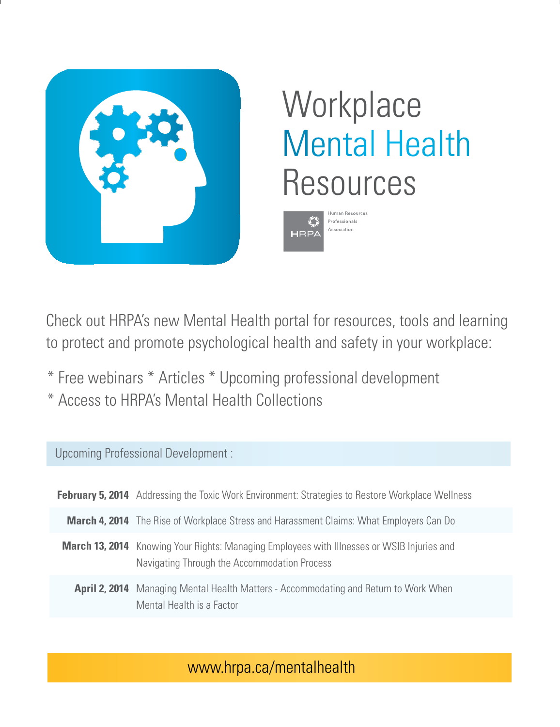

# **Workplace** Mental Health Resources



Check out HRPA's new Mental Health portal for resources, tools and learning to protect and promote psychological health and safety in your workplace:

- \* Free webinars \* Articles \* Upcoming professional development
- \* Access to HRPA's Mental Health Collections

#### Upcoming Professional Development :

| <b>February 5, 2014</b> Addressing the Toxic Work Environment: Strategies to Restore Workplace Wellness                                           |
|---------------------------------------------------------------------------------------------------------------------------------------------------|
| <b>March 4, 2014</b> The Rise of Workplace Stress and Harassment Claims: What Employers Can Do                                                    |
| <b>March 13, 2014</b> Knowing Your Rights: Managing Employees with Illnesses or WSIB Injuries and<br>Navigating Through the Accommodation Process |
| <b>April 2, 2014</b> Managing Mental Health Matters - Accommodating and Return to Work When<br>Mental Health is a Factor                          |

### www.hrpa.ca/mentalhealth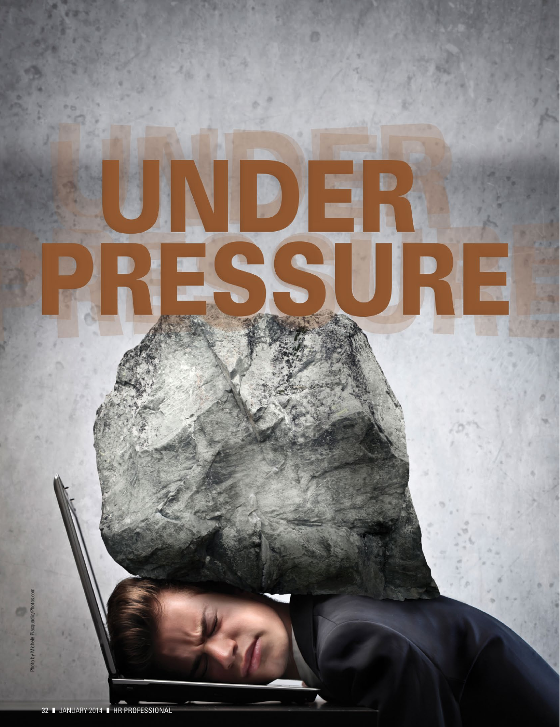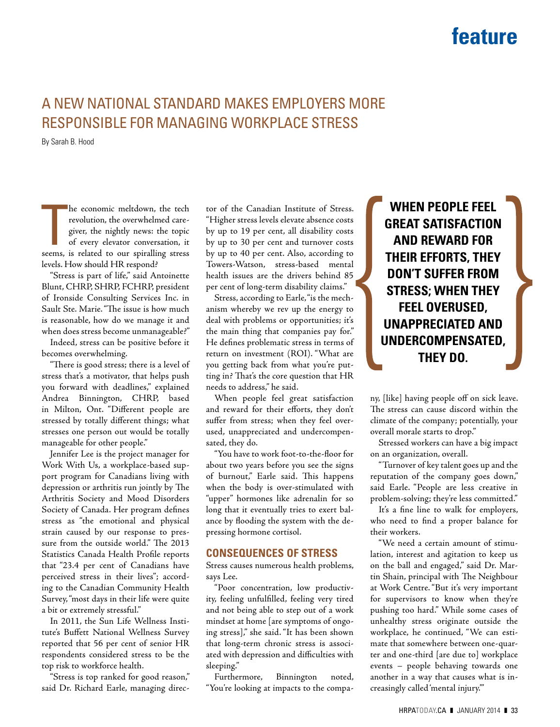### **feature**

### A NEW NATIONAL STANDARD MAKES EMPLOYERS MORE RESPONSIBLE FOR MANAGING WORKPLACE STRESS

By Sarah B. Hood

he economic meltdown, the tech<br>revolution, the overwhelmed care-<br>giver, the nightly news: the topic<br>of every elevator conversation, it<br>seems, is related to our spiralling stress he economic meltdown, the tech revolution, the overwhelmed caregiver, the nightly news: the topic of every elevator conversation, it levels. How should HR respond?

"Stress is part of life," said Antoinette Blunt, CHRP, SHRP, FCHRP, president of Ironside Consulting Services Inc. in Sault Ste. Marie. "The issue is how much is reasonable, how do we manage it and when does stress become unmanageable?"

Indeed, stress can be positive before it becomes overwhelming.

"There is good stress; there is a level of stress that's a motivator, that helps push you forward with deadlines," explained Andrea Binnington, CHRP, based in Milton, Ont. "Different people are stressed by totally different things; what stresses one person out would be totally manageable for other people."

Jennifer Lee is the project manager for Work With Us, a workplace-based support program for Canadians living with depression or arthritis run jointly by The Arthritis Society and Mood Disorders Society of Canada. Her program defines stress as "the emotional and physical strain caused by our response to pressure from the outside world." The 2013 Statistics Canada Health Profile reports that "23.4 per cent of Canadians have perceived stress in their lives"; according to the Canadian Community Health Survey, "most days in their life were quite a bit or extremely stressful."

In 2011, the Sun Life Wellness Institute's Buffett National Wellness Survey reported that 56 per cent of senior HR respondents considered stress to be the top risk to workforce health.

"Stress is top ranked for good reason," said Dr. Richard Earle, managing director of the Canadian Institute of Stress. "Higher stress levels elevate absence costs by up to 19 per cent, all disability costs by up to 30 per cent and turnover costs by up to 40 per cent. Also, according to Towers-Watson, stress-based mental health issues are the drivers behind 85 per cent of long-term disability claims."

Stress, according to Earle, "is the mechanism whereby we rev up the energy to deal with problems or opportunities; it's the main thing that companies pay for." He defines problematic stress in terms of return on investment (ROI). "What are you getting back from what you're putting in? That's the core question that HR needs to address," he said.

When people feel great satisfaction and reward for their efforts, they don't suffer from stress; when they feel overused, unappreciated and undercompensated, they do.

"You have to work foot-to-the-floor for about two years before you see the signs of burnout," Earle said. This happens when the body is over-stimulated with "upper" hormones like adrenalin for so long that it eventually tries to exert balance by flooding the system with the depressing hormone cortisol.

#### **CONSEQUENCES OF STRESS**

Stress causes numerous health problems, says Lee.

"Poor concentration, low productivity, feeling unfulfilled, feeling very tired and not being able to step out of a work mindset at home [are symptoms of ongoing stress]," she said. "It has been shown that long-term chronic stress is associated with depression and difficulties with sleeping."

Furthermore, Binnington noted, "You're looking at impacts to the compa-

**WHEN PEOPLE FEEL GREAT SATISFACTION AND REWARD FOR THEIR EFFORTS, THEY DON'T SUFFER FROM STRESS; WHEN THEY FEEL OVERUSED, UNAPPRECIATED AND UNDERCOMPENSATED, THEY DO.**

ny, [like] having people off on sick leave. The stress can cause discord within the climate of the company; potentially, your overall morale starts to drop."

Stressed workers can have a big impact on an organization, overall.

"Turnover of key talent goes up and the reputation of the company goes down," said Earle. "People are less creative in problem-solving; they're less committed."

It's a fine line to walk for employers, who need to find a proper balance for their workers.

"We need a certain amount of stimulation, interest and agitation to keep us on the ball and engaged," said Dr. Martin Shain, principal with The Neighbour at Work Centre. "But it's very important for supervisors to know when they're pushing too hard." While some cases of unhealthy stress originate outside the workplace, he continued, "We can estimate that somewhere between one-quarter and one-third [are due to] workplace events – people behaving towards one another in a way that causes what is increasingly called 'mental injury.'"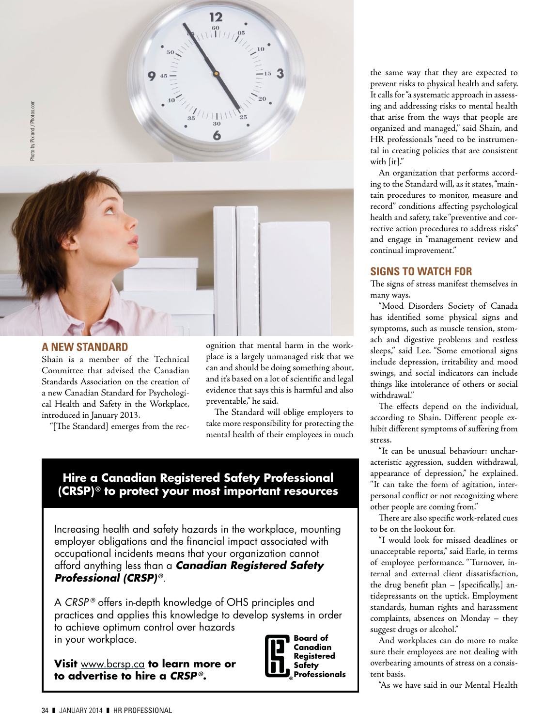

#### **A NEW STANDARD**

Shain is a member of the Technical Committee that advised the Canadian Standards Association on the creation of a new Canadian Standard for Psychological Health and Safety in the Workplace, introduced in January 2013. Photos.com<br>Photos.com<br>Photos.com

"[The Standard] emerges from the rec-

ognition that mental harm in the workplace is a largely unmanaged risk that we can and should be doing something about, and it's based on a lot of scientific and legal evidence that says this is harmful and also preventable," he said.

The Standard will oblige employers to take more responsibility for protecting the mental health of their employees in much

#### **Hire a Canadian Registered Safety Professional (CRSP) ® to protect your most important resources**

Increasing health and safety hazards in the workplace, mounting employer obligations and the financial impact associated with occupational incidents means that your organization cannot afford anything less than a *Canadian Registered Safety Professional (CRSP) ®.*

A *CRSP ®* offers in-depth knowledge of OHS principles and practices and applies this knowledge to develop systems in order to achieve optimum control over hazards in your workplace. **Board of**

**Visit** www.bcrsp.ca **to learn more or to advertise to hire a** *CRSP ®***.**



the same way that they are expected to prevent risks to physical health and safety. It calls for "a systematic approach in assessing and addressing risks to mental health that arise from the ways that people are organized and managed," said Shain, and HR professionals "need to be instrumental in creating policies that are consistent with [it]."

An organization that performs according to the Standard will, as it states, "maintain procedures to monitor, measure and record" conditions affecting psychological health and safety, take "preventive and corrective action procedures to address risks" and engage in "management review and continual improvement."

#### **SIGNS TO WATCH FOR**

The signs of stress manifest themselves in many ways.

"Mood Disorders Society of Canada has identified some physical signs and symptoms, such as muscle tension, stomach and digestive problems and restless sleeps," said Lee. "Some emotional signs include depression, irritability and mood swings, and social indicators can include things like intolerance of others or social withdrawal."

The effects depend on the individual, according to Shain. Different people exhibit different symptoms of suffering from stress.

"It can be unusual behaviour: uncharacteristic aggression, sudden withdrawal, appearance of depression," he explained. "It can take the form of agitation, interpersonal conflict or not recognizing where other people are coming from."

There are also specific work-related cues to be on the lookout for.

"I would look for missed deadlines or unacceptable reports," said Earle, in terms of employee performance. "Turnover, internal and external client dissatisfaction, the drug benefit plan  $-$  [specifically,] antidepressants on the uptick. Employment standards, human rights and harassment complaints, absences on Monday – they suggest drugs or alcohol."

And workplaces can do more to make sure their employees are not dealing with overbearing amounts of stress on a consistent basis.

"As we have said in our Mental Health